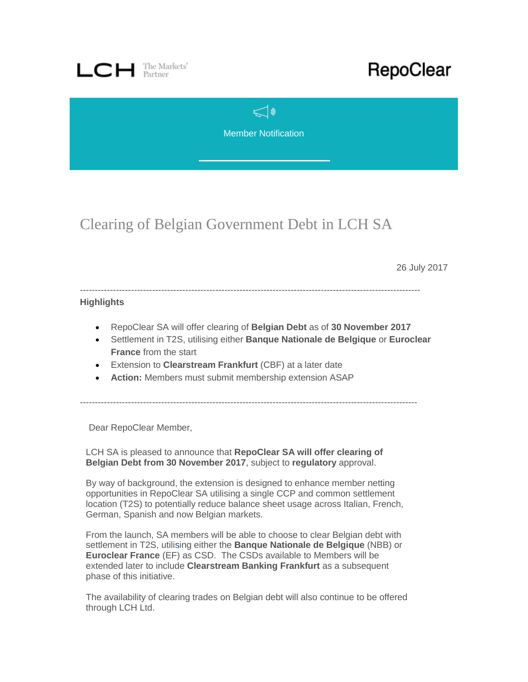

## RepoClear

 $\leq$ Member Notification

Clearing of Belgian Government Debt in LCH SA

26 July 2017

-----------------------------------------------------------------------------------------------------------------

## **Highlights**

- RepoClear SA will offer clearing of **Belgian Debt** as of **30 November 2017**
- Settlement in T2S, utilising either **Banque Nationale de Belgique** or **Euroclear France** from the start
- Extension to **Clearstream Frankfurt** (CBF) at a later date
- **Action:** Members must submit membership extension ASAP

----------------------------------------------------------------------------------------------------------------

Dear RepoClear Member,

LCH SA is pleased to announce that **RepoClear SA will offer clearing of Belgian Debt from 30 November 2017**, subject to **regulatory** approval.

By way of background, the extension is designed to enhance member netting opportunities in RepoClear SA utilising a single CCP and common settlement location (T2S) to potentially reduce balance sheet usage across Italian, French, German, Spanish and now Belgian markets.

From the launch, SA members will be able to choose to clear Belgian debt with settlement in T2S, utilising either the **Banque Nationale de Belgique** (NBB) or **Euroclear France** (EF) as CSD. The CSDs available to Members will be extended later to include **Clearstream Banking Frankfurt** as a subsequent phase of this initiative.

The availability of clearing trades on Belgian debt will also continue to be offered through LCH Ltd.